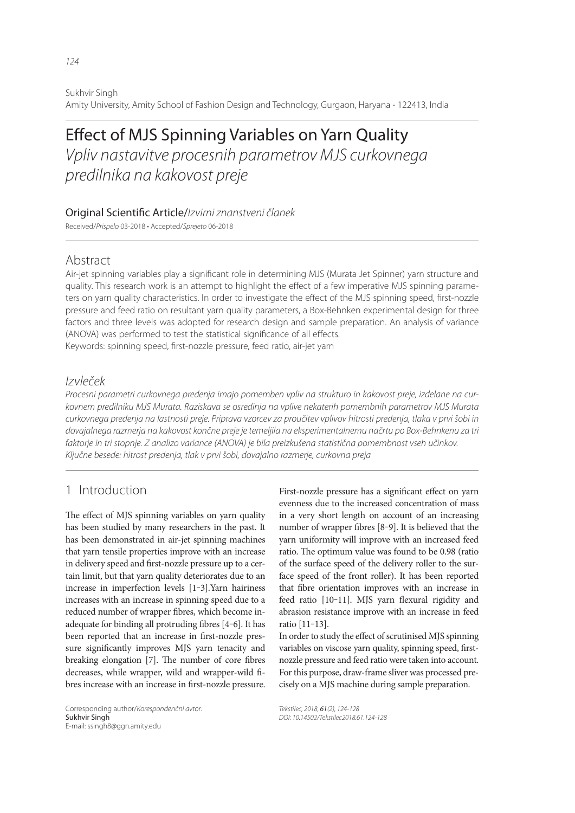Sukhvir Singh Amity University, Amity School of Fashion Design and Technology, Gurgaon, Haryana - 122413, India

# Vpliv nastavitve procesnih parametrov MJS curkovnega predilnika na kakovost preje

#### Original Scientific Article/Izvirni znanstveni članek

Received/Prispelo 03-2018 • Accepted/Sprejeto 06-2018

# Abstract

Air-jet spinning variables play a significant role in determining MJS (Murata Jet Spinner) yarn structure and quality. This research work is an attempt to highlight the effect of a few imperative MJS spinning parameters on yarn quality characteristics. In order to investigate the effect of the MJS spinning speed, first-nozzle pressure and feed ratio on resultant yarn quality parameters, a Box-Behnken experimental design for three factors and three levels was adopted for research design and sample preparation. An analysis of variance (ANOVA) was performed to test the statistical significance of all effects.

Keywords: spinning speed, first-nozzle pressure, feed ratio, air-jet yarn

### Izvleček

Procesni parametri curkovnega predenja imajo pomemben vpliv na strukturo in kakovost preje, izdelane na curkovnem predilniku MJS Murata. Raziskava se osredinja na vplive nekaterih pomembnih parametrov MJS Murata curkovnega predenja na lastnosti preje. Priprava vzorcev za proučitev vplivov hitrosti predenja, tlaka v prvi šobi in dovajalnega razmerja na kakovost končne preje je temeljila na eksperimentalnemu načrtu po Box-Behnkenu za tri faktorje in tri stopnje. Z analizo variance (ANOVA) je bila preizkušena statistična pomembnost vseh učinkov. Ključne besede: hitrost predenja, tlak v prvi šobi, dovajalno razmerje, curkovna preja

# 1 Introduction

The effect of MJS spinning variables on yarn quality has been studied by many researchers in the past. It has been demonstrated in air-jet spinning machines that yarn tensile properties improve with an increase in delivery speed and first-nozzle pressure up to a certain limit, but that yarn quality deteriorates due to an increase in imperfection levels [1‒3].Yarn hairiness increases with an increase in spinning speed due to a reduced number of wrapper fibres, which become inadequate for binding all protruding fibres [4-6]. It has been reported that an increase in first-nozzle pressure significantly improves MJS yarn tenacity and breaking elongation [7]. The number of core fibres decreases, while wrapper, wild and wrapper-wild fibres increase with an increase in first-nozzle pressure.

Corresponding author/Korespondenčni avtor: E-mail: ssingh8@ggn.amity.edu

First-nozzle pressure has a significant effect on yarn evenness due to the increased concentration of mass in a very short length on account of an increasing number of wrapper fibres  $[8-9]$ . It is believed that the yarn uniformity will improve with an increased feed ratio. The optimum value was found to be 0.98 (ratio of the surface speed of the delivery roller to the surface speed of the front roller). It has been reported that fibre orientation improves with an increase in feed ratio [10-11]. MJS yarn flexural rigidity and abrasion resistance improve with an increase in feed ratio [11‒13].

In order to study the effect of scrutinised MJS spinning variables on viscose yarn quality, spinning speed, firstnozzle pressure and feed ratio were taken into account. For this purpose, draw-frame sliver was processed precisely on a MJS machine during sample preparation.

Tekstilec, 2018, 61(2), 124-128 DOI: 10.14502/Tekstilec2018.61.124-128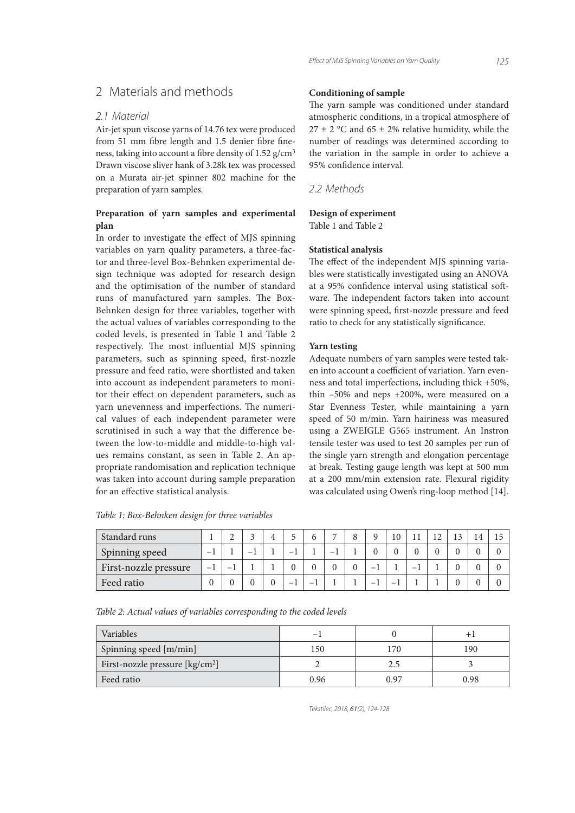# 2 Materials and methods

#### 2.1 Material

Air-jet spun viscose yarns of 14.76 tex were produced from 51 mm fibre length and 1.5 denier fibre fineness, taking into account a fibre density of 1.52 g/cm<sup>3</sup> Drawn viscose sliver hank of 3.28k tex was processed on a Murata air-jet spinner 802 machine for the preparation of yarn samples.

#### **Preparation of yarn samples and experimental plan**

In order to investigate the effect of MJS spinning variables on yarn quality parameters, a three-factor and three-level Box-Behnken experimental design technique was adopted for research design and the optimisation of the number of standard runs of manufactured yarn samples. The Box-Behnken design for three variables, together with the actual values of variables corresponding to the coded levels, is presented in Table 1 and Table 2 respectively. The most influential MJS spinning parameters, such as spinning speed, first-nozzle pressure and feed ratio, were shortlisted and taken into account as independent parameters to monitor their effect on dependent parameters, such as yarn unevenness and imperfections. The numerical values of each independent parameter were scrutinised in such a way that the difference between the low-to-middle and middle-to-high values remains constant, as seen in Table 2. An appropriate randomisation and replication technique was taken into account during sample preparation for an effective statistical analysis.

#### **Conditioning of sample**

The yarn sample was conditioned under standard atmospheric conditions, in a tropical atmosphere of  $27 \pm 2$  °C and 65  $\pm$  2% relative humidity, while the number of readings was determined according to the variation in the sample in order to achieve a 95% confidence interval.

2.2 Methods

#### **Design of experiment**

Table 1 and Table 2

#### **Statistical analysis**

The effect of the independent MJS spinning variables were statistically investigated using an ANOVA at a 95% confidence interval using statistical software. The independent factors taken into account were spinning speed, first-nozzle pressure and feed ratio to check for any statistically significance.

#### **Yarn testing**

Adequate numbers of yarn samples were tested taken into account a coefficient of variation. Yarn evenness and total imperfections, including thick +50%, thin –50% and neps +200%, were measured on a Star Evenness Tester, while maintaining a yarn speed of 50 m/min. Yarn hairiness was measured using a ZWEIGLE G565 instrument. An Instron tensile tester was used to test 20 samples per run of the single yarn strength and elongation percentage at break. Testing gauge length was kept at 500 mm at a 200 mm/min extension rate. Flexural rigidity was calculated using Owen's ring-loop method [14].

| Standard runs         |      |   |   |          |   |   |   | 10 |   |  |  |
|-----------------------|------|---|---|----------|---|---|---|----|---|--|--|
| Spinning speed        | $-$  |   | - |          | - | - |   |    |   |  |  |
| First-nozzle pressure | $-1$ | - |   |          |   |   | - |    | - |  |  |
| Feed ratio            |      |   |   | $\theta$ | - |   | - |    |   |  |  |

*Table 1: Box-Behnken design for three variables*

*Table 2: Actual values of variables corresponding to the coded levels* 

| Variables                                   | -    |      |      |
|---------------------------------------------|------|------|------|
| Spinning speed [m/min]                      | 150  | 170  | 190  |
| First-nozzle pressure [kg/cm <sup>2</sup> ] |      | 2.5  |      |
| Feed ratio                                  | 0.96 | 0.97 | 0.98 |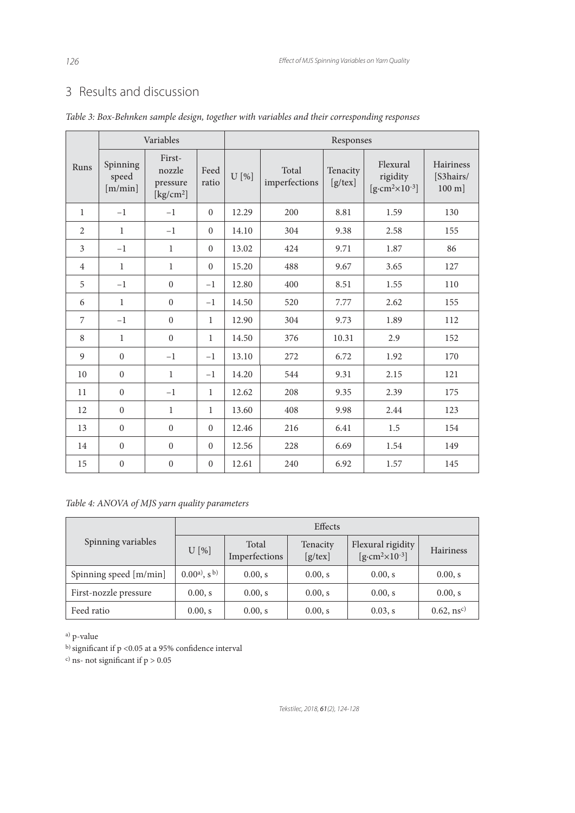# 3 Results and discussion

|                | Variables                    |                                                               |                  |       | Responses              |                        |                                                        |                                           |  |  |  |  |
|----------------|------------------------------|---------------------------------------------------------------|------------------|-------|------------------------|------------------------|--------------------------------------------------------|-------------------------------------------|--|--|--|--|
| Runs           | Spinning<br>speed<br>[m/min] | First-<br>nozzle<br>pressure<br>$\left[\text{kg/cm}^2\right]$ | Feed<br>ratio    | U[%]  | Total<br>imperfections | Tenacity<br>$[g$ /tex] | Flexural<br>rigidity<br>$[g\text{-}cm^2\times10^{-3}]$ | Hairiness<br>[S3hairs/<br>$100 \text{ m}$ |  |  |  |  |
| $\mathbf{1}$   | $-1$                         | $-1$                                                          | $\mathbf{0}$     | 12.29 | 200                    | 8.81                   | 1.59                                                   | 130                                       |  |  |  |  |
| 2              | $\mathbf{1}$                 | $-1$                                                          | $\boldsymbol{0}$ | 14.10 | 304                    | 9.38                   | 2.58                                                   | 155                                       |  |  |  |  |
| 3              | $-1$                         | $\mathbf{1}$                                                  | $\mathbf{0}$     | 13.02 | 424                    | 9.71                   | 1.87                                                   | 86                                        |  |  |  |  |
| $\overline{4}$ | $\mathbf{1}$                 | $\mathbf{1}$                                                  | $\mathbf{0}$     | 15.20 | 488                    | 9.67                   | 3.65                                                   | 127                                       |  |  |  |  |
| 5              | $-1$                         | $\overline{0}$                                                | $-1$             | 12.80 | 400                    | 8.51                   | 1.55                                                   | 110                                       |  |  |  |  |
| 6              | $\mathbf{1}$                 | $\overline{0}$                                                | $-1$             | 14.50 | 520                    | 7.77                   | 2.62                                                   | 155                                       |  |  |  |  |
| 7              | $-1$                         | $\boldsymbol{0}$                                              | $\mathbf{1}$     | 12.90 | 304                    | 9.73                   | 1.89                                                   | 112                                       |  |  |  |  |
| 8              | $\mathbf{1}$                 | $\boldsymbol{0}$                                              | $\mathbf{1}$     | 14.50 | 376                    | 10.31                  | 2.9                                                    | 152                                       |  |  |  |  |
| 9              | $\boldsymbol{0}$             | $-1$                                                          | $-1$             | 13.10 | 272                    | 6.72                   | 1.92                                                   | 170                                       |  |  |  |  |
| 10             | $\boldsymbol{0}$             | $\mathbf{1}$                                                  | $-1$             | 14.20 | 544                    | 9.31                   | 2.15                                                   | 121                                       |  |  |  |  |
| 11             | $\boldsymbol{0}$             | $-1$                                                          | $\mathbf{1}$     | 12.62 | 208                    | 9.35                   | 2.39                                                   | 175                                       |  |  |  |  |
| 12             | $\mathbf{0}$                 | $\mathbf{1}$                                                  | $\mathbf{1}$     | 13.60 | 408                    | 9.98                   | 2.44                                                   | 123                                       |  |  |  |  |
| 13             | $\boldsymbol{0}$             | $\boldsymbol{0}$                                              | $\mathbf{0}$     | 12.46 | 216                    | 6.41                   | 1.5                                                    | 154                                       |  |  |  |  |
| 14             | $\mathbf{0}$                 | $\mathbf{0}$                                                  | $\overline{0}$   | 12.56 | 228                    | 6.69                   | 1.54                                                   | 149                                       |  |  |  |  |
| 15             | $\boldsymbol{0}$             | $\boldsymbol{0}$                                              | $\mathbf{0}$     | 12.61 | 240                    | 6.92                   | 1.57                                                   | 145                                       |  |  |  |  |

*Table 3: Box-Behnken sample design, together with variables and their corresponding responses*

# *Table 4: ANOVA of MJS yarn quality parameters*

|                        | Effects                     |                        |                        |                                                     |                           |  |  |  |  |  |
|------------------------|-----------------------------|------------------------|------------------------|-----------------------------------------------------|---------------------------|--|--|--|--|--|
| Spinning variables     | U[%]                        | Total<br>Imperfections | Tenacity<br>$[g$ /tex] | Flexural rigidity<br>$[g\text{-}cm^2\times10^{-3}]$ | <b>Hairiness</b>          |  |  |  |  |  |
| Spinning speed [m/min] | $(0.00a)$ , s <sup>b)</sup> | 0.00, s                | 0.00, s                | 0.00, s                                             | 0.00, s                   |  |  |  |  |  |
| First-nozzle pressure  | 0.00, s                     | 0.00, s                | 0.00, s                | 0.00, s                                             | 0.00, s                   |  |  |  |  |  |
| Feed ratio             | 0.00, s                     | 0.00, s                | 0.00, s                | $0.03$ , s                                          | $0.62$ , ns <sup>c)</sup> |  |  |  |  |  |

a) p-value

b) significant if p <0.05 at a 95% confidence interval

<sup>c)</sup> ns- not significant if  $p > 0.05$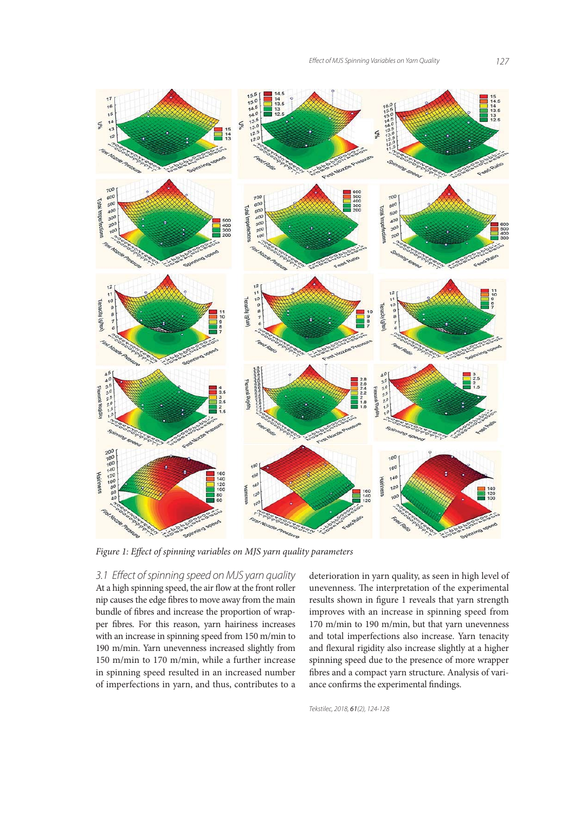

Figure 1: Effect of spinning variables on MJS yarn quality parameters

3.1 Effect of spinning speed on MJS yarn quality At a high spinning speed, the air flow at the front roller nip causes the edge fibres to move away from the main bundle of fibres and increase the proportion of wrapper fibres. For this reason, yarn hairiness increases with an increase in spinning speed from 150 m/min to 190 m/min. Yarn unevenness increased slightly from 150 m/min to 170 m/min, while a further increase in spinning speed resulted in an increased number of imperfections in yarn, and thus, contributes to a

deterioration in yarn quality, as seen in high level of unevenness. The interpretation of the experimental results shown in figure 1 reveals that yarn strength improves with an increase in spinning speed from 170 m/min to 190 m/min, but that yarn unevenness and total imperfections also increase. Yarn tenacity and flexural rigidity also increase slightly at a higher spinning speed due to the presence of more wrapper fibres and a compact yarn structure. Analysis of variance confirms the experimental findings.

Tekstilec, 2018, 61(2), 124-128